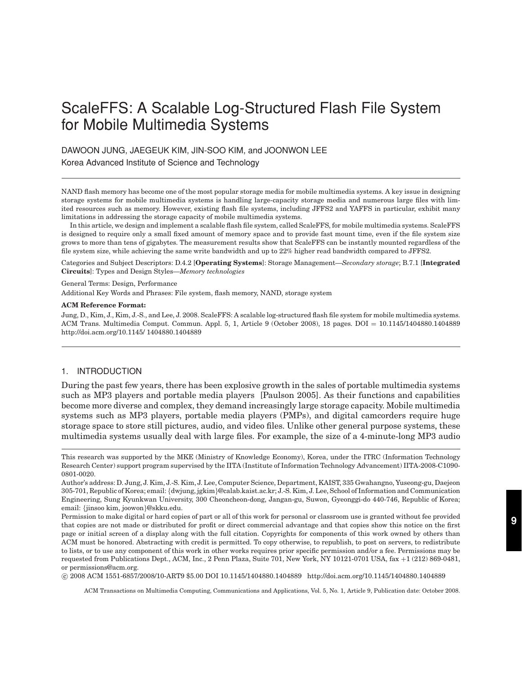# ScaleFFS: A Scalable Log-Structured Flash File System for Mobile Multimedia Systems

# DAWOON JUNG, JAEGEUK KIM, JIN-SOO KIM, and JOONWON LEE

Korea Advanced Institute of Science and Technology

NAND flash memory has become one of the most popular storage media for mobile multimedia systems. A key issue in designing storage systems for mobile multimedia systems is handling large-capacity storage media and numerous large files with limited resources such as memory. However, existing flash file systems, including JFFS2 and YAFFS in particular, exhibit many limitations in addressing the storage capacity of mobile multimedia systems.

In this article, we design and implement a scalable flash file system, called ScaleFFS, for mobile multimedia systems. ScaleFFS is designed to require only a small fixed amount of memory space and to provide fast mount time, even if the file system size grows to more than tens of gigabytes. The measurement results show that ScaleFFS can be instantly mounted regardless of the file system size, while achieving the same write bandwidth and up to 22% higher read bandwidth compared to JFFS2.

Categories and Subject Descriptors: D.4.2 [**Operating Systems**]: Storage Management—*Secondary storage*; B.7.1 [**Integrated Circuits**]: Types and Design Styles—*Memory technologies*

General Terms: Design, Performance

Additional Key Words and Phrases: File system, flash memory, NAND, storage system

#### **ACM Reference Format:**

Jung, D., Kim, J., Kim, J.-S., and Lee, J. 2008. ScaleFFS: A scalable log-structured flash file system for mobile multimedia systems. ACM Trans. Multimedia Comput. Commun. Appl. 5, 1, Article 9 (October 2008), 18 pages. DOI = 10.1145/1404880.1404889 http://doi.acm.org/10.1145/ 1404880.1404889

#### 1. INTRODUCTION

During the past few years, there has been explosive growth in the sales of portable multimedia systems such as MP3 players and portable media players [Paulson 2005]. As their functions and capabilities become more diverse and complex, they demand increasingly large storage capacity. Mobile multimedia systems such as MP3 players, portable media players (PMPs), and digital camcorders require huge storage space to store still pictures, audio, and video files. Unlike other general purpose systems, these multimedia systems usually deal with large files. For example, the size of a 4-minute-long MP3 audio

-c 2008 ACM 1551-6857/2008/10-ART9 \$5.00 DOI 10.1145/1404880.1404889 http://doi.acm.org/10.1145/1404880.1404889

This research was supported by the MKE (Ministry of Knowledge Economy), Korea, under the ITRC (Information Technology Research Center) support program supervised by the IITA (Institute of Information Technology Advancement) IITA-2008-C1090- 0801-0020.

Author's address: D. Jung, J. Kim, J.-S. Kim, J. Lee, Computer Science, Department, KAIST, 335 Gwahangno, Yuseong-gu, Daejeon 305-701, Republic of Korea; email: {dwjung, jgkim}@calab.kaist.ac.kr; J.-S. Kim, J. Lee, School of Information and Communication Engineering, Sung Kyunkwan University, 300 Cheoncheon-dong, Jangan-gu, Suwon, Gyeonggi-do 440-746, Republic of Korea; email: {jinsoo kim, joowon}@skku.edu.

Permission to make digital or hard copies of part or all of this work for personal or classroom use is granted without fee provided that copies are not made or distributed for profit or direct commercial advantage and that copies show this notice on the first page or initial screen of a display along with the full citation. Copyrights for components of this work owned by others than ACM must be honored. Abstracting with credit is permitted. To copy otherwise, to republish, to post on servers, to redistribute to lists, or to use any component of this work in other works requires prior specific permission and/or a fee. Permissions may be requested from Publications Dept., ACM, Inc., 2 Penn Plaza, Suite 701, New York, NY 10121-0701 USA, fax +1 (212) 869-0481, or permissions@acm.org.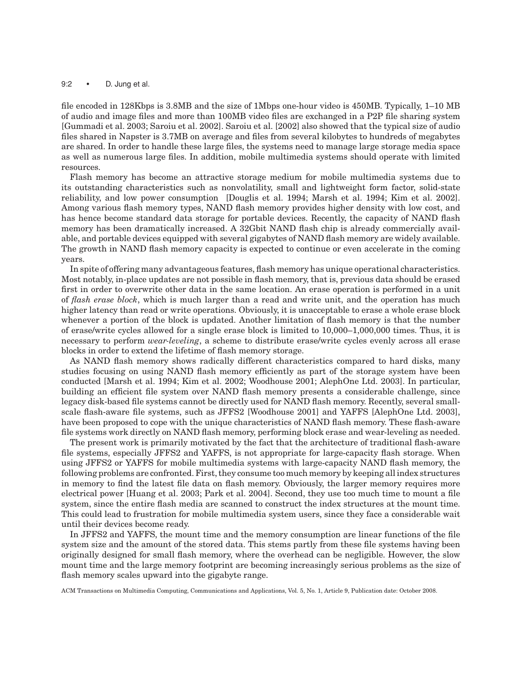# 9:2 • D. Jung et al.

file encoded in 128Kbps is 3.8MB and the size of 1Mbps one-hour video is 450MB. Typically, 1–10 MB of audio and image files and more than 100MB video files are exchanged in a P2P file sharing system [Gummadi et al. 2003; Saroiu et al. 2002]. Saroiu et al. [2002] also showed that the typical size of audio files shared in Napster is 3.7MB on average and files from several kilobytes to hundreds of megabytes are shared. In order to handle these large files, the systems need to manage large storage media space as well as numerous large files. In addition, mobile multimedia systems should operate with limited resources.

Flash memory has become an attractive storage medium for mobile multimedia systems due to its outstanding characteristics such as nonvolatility, small and lightweight form factor, solid-state reliability, and low power consumption [Douglis et al. 1994; Marsh et al. 1994; Kim et al. 2002]. Among various flash memory types, NAND flash memory provides higher density with low cost, and has hence become standard data storage for portable devices. Recently, the capacity of NAND flash memory has been dramatically increased. A 32Gbit NAND flash chip is already commercially available, and portable devices equipped with several gigabytes of NAND flash memory are widely available. The growth in NAND flash memory capacity is expected to continue or even accelerate in the coming years.

In spite of offering many advantageous features, flash memory has unique operational characteristics. Most notably, in-place updates are not possible in flash memory, that is, previous data should be erased first in order to overwrite other data in the same location. An erase operation is performed in a unit of *flash erase block*, which is much larger than a read and write unit, and the operation has much higher latency than read or write operations. Obviously, it is unacceptable to erase a whole erase block whenever a portion of the block is updated. Another limitation of flash memory is that the number of erase/write cycles allowed for a single erase block is limited to 10,000–1,000,000 times. Thus, it is necessary to perform *wear-leveling*, a scheme to distribute erase/write cycles evenly across all erase blocks in order to extend the lifetime of flash memory storage.

As NAND flash memory shows radically different characteristics compared to hard disks, many studies focusing on using NAND flash memory efficiently as part of the storage system have been conducted [Marsh et al. 1994; Kim et al. 2002; Woodhouse 2001; AlephOne Ltd. 2003]. In particular, building an efficient file system over NAND flash memory presents a considerable challenge, since legacy disk-based file systems cannot be directly used for NAND flash memory. Recently, several smallscale flash-aware file systems, such as JFFS2 [Woodhouse 2001] and YAFFS [AlephOne Ltd. 2003], have been proposed to cope with the unique characteristics of NAND flash memory. These flash-aware file systems work directly on NAND flash memory, performing block erase and wear-leveling as needed.

The present work is primarily motivated by the fact that the architecture of traditional flash-aware file systems, especially JFFS2 and YAFFS, is not appropriate for large-capacity flash storage. When using JFFS2 or YAFFS for mobile multimedia systems with large-capacity NAND flash memory, the following problems are confronted. First, they consume too much memory by keeping all index structures in memory to find the latest file data on flash memory. Obviously, the larger memory requires more electrical power [Huang et al. 2003; Park et al. 2004]. Second, they use too much time to mount a file system, since the entire flash media are scanned to construct the index structures at the mount time. This could lead to frustration for mobile multimedia system users, since they face a considerable wait until their devices become ready.

In JFFS2 and YAFFS, the mount time and the memory consumption are linear functions of the file system size and the amount of the stored data. This stems partly from these file systems having been originally designed for small flash memory, where the overhead can be negligible. However, the slow mount time and the large memory footprint are becoming increasingly serious problems as the size of flash memory scales upward into the gigabyte range.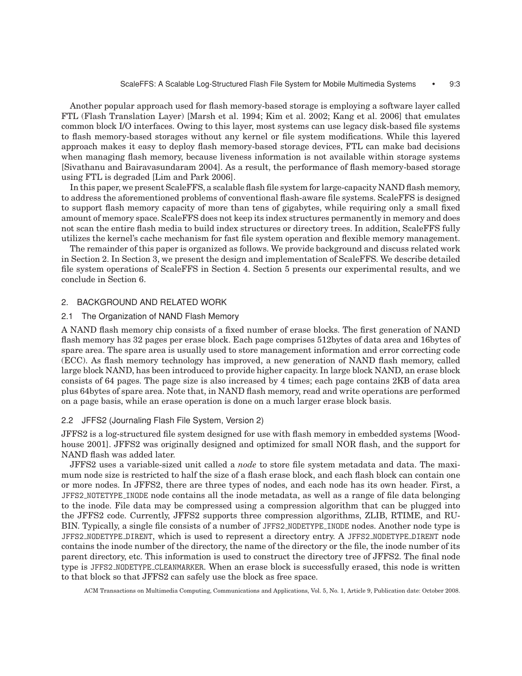Another popular approach used for flash memory-based storage is employing a software layer called FTL (Flash Translation Layer) [Marsh et al. 1994; Kim et al. 2002; Kang et al. 2006] that emulates common block I/O interfaces. Owing to this layer, most systems can use legacy disk-based file systems to flash memory-based storages without any kernel or file system modifications. While this layered approach makes it easy to deploy flash memory-based storage devices, FTL can make bad decisions when managing flash memory, because liveness information is not available within storage systems [Sivathanu and Bairavasundaram 2004]. As a result, the performance of flash memory-based storage using FTL is degraded [Lim and Park 2006].

In this paper, we present ScaleFFS, a scalable flash file system for large-capacity NAND flash memory, to address the aforementioned problems of conventional flash-aware file systems. ScaleFFS is designed to support flash memory capacity of more than tens of gigabytes, while requiring only a small fixed amount of memory space. ScaleFFS does not keep its index structures permanently in memory and does not scan the entire flash media to build index structures or directory trees. In addition, ScaleFFS fully utilizes the kernel's cache mechanism for fast file system operation and flexible memory management.

The remainder of this paper is organized as follows. We provide background and discuss related work in Section 2. In Section 3, we present the design and implementation of ScaleFFS. We describe detailed file system operations of ScaleFFS in Section 4. Section 5 presents our experimental results, and we conclude in Section 6.

# 2. BACKGROUND AND RELATED WORK

# 2.1 The Organization of NAND Flash Memory

A NAND flash memory chip consists of a fixed number of erase blocks. The first generation of NAND flash memory has 32 pages per erase block. Each page comprises 512bytes of data area and 16bytes of spare area. The spare area is usually used to store management information and error correcting code (ECC). As flash memory technology has improved, a new generation of NAND flash memory, called large block NAND, has been introduced to provide higher capacity. In large block NAND, an erase block consists of 64 pages. The page size is also increased by 4 times; each page contains 2KB of data area plus 64bytes of spare area. Note that, in NAND flash memory, read and write operations are performed on a page basis, while an erase operation is done on a much larger erase block basis.

#### 2.2 JFFS2 (Journaling Flash File System, Version 2)

JFFS2 is a log-structured file system designed for use with flash memory in embedded systems [Woodhouse 2001]. JFFS2 was originally designed and optimized for small NOR flash, and the support for NAND flash was added later.

JFFS2 uses a variable-sized unit called a *node* to store file system metadata and data. The maximum node size is restricted to half the size of a flash erase block, and each flash block can contain one or more nodes. In JFFS2, there are three types of nodes, and each node has its own header. First, a JFFS2 NOTETYPE INODE node contains all the inode metadata, as well as a range of file data belonging to the inode. File data may be compressed using a compression algorithm that can be plugged into the JFFS2 code. Currently, JFFS2 supports three compression algorithms, ZLIB, RTIME, and RU-BIN. Typically, a single file consists of a number of JFFS2 NODETYPE INODE nodes. Another node type is JFFS2 NODETYPE DIRENT, which is used to represent a directory entry. A JFFS2 NODETYPE DIRENT node contains the inode number of the directory, the name of the directory or the file, the inode number of its parent directory, etc. This information is used to construct the directory tree of JFFS2. The final node type is JFFS2 NODETYPE CLEANMARKER. When an erase block is successfully erased, this node is written to that block so that JFFS2 can safely use the block as free space.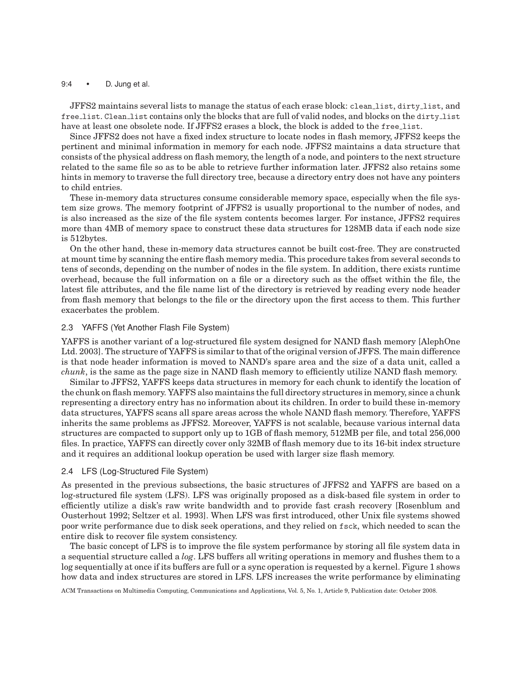#### 9:4 • D. Jung et al.

JFFS2 maintains several lists to manage the status of each erase block: clean list, dirty list, and free list. Clean list contains only the blocks that are full of valid nodes, and blocks on the dirty list have at least one obsolete node. If JFFS2 erases a block, the block is added to the free\_list.

Since JFFS2 does not have a fixed index structure to locate nodes in flash memory, JFFS2 keeps the pertinent and minimal information in memory for each node. JFFS2 maintains a data structure that consists of the physical address on flash memory, the length of a node, and pointers to the next structure related to the same file so as to be able to retrieve further information later. JFFS2 also retains some hints in memory to traverse the full directory tree, because a directory entry does not have any pointers to child entries.

These in-memory data structures consume considerable memory space, especially when the file system size grows. The memory footprint of JFFS2 is usually proportional to the number of nodes, and is also increased as the size of the file system contents becomes larger. For instance, JFFS2 requires more than 4MB of memory space to construct these data structures for 128MB data if each node size is 512bytes.

On the other hand, these in-memory data structures cannot be built cost-free. They are constructed at mount time by scanning the entire flash memory media. This procedure takes from several seconds to tens of seconds, depending on the number of nodes in the file system. In addition, there exists runtime overhead, because the full information on a file or a directory such as the offset within the file, the latest file attributes, and the file name list of the directory is retrieved by reading every node header from flash memory that belongs to the file or the directory upon the first access to them. This further exacerbates the problem.

#### 2.3 YAFFS (Yet Another Flash File System)

YAFFS is another variant of a log-structured file system designed for NAND flash memory [AlephOne Ltd. 2003]. The structure of YAFFS is similar to that of the original version of JFFS. The main difference is that node header information is moved to NAND's spare area and the size of a data unit, called a *chunk*, is the same as the page size in NAND flash memory to efficiently utilize NAND flash memory.

Similar to JFFS2, YAFFS keeps data structures in memory for each chunk to identify the location of the chunk on flash memory. YAFFS also maintains the full directory structures in memory, since a chunk representing a directory entry has no information about its children. In order to build these in-memory data structures, YAFFS scans all spare areas across the whole NAND flash memory. Therefore, YAFFS inherits the same problems as JFFS2. Moreover, YAFFS is not scalable, because various internal data structures are compacted to support only up to 1GB of flash memory, 512MB per file, and total 256,000 files. In practice, YAFFS can directly cover only 32MB of flash memory due to its 16-bit index structure and it requires an additional lookup operation be used with larger size flash memory.

# 2.4 LFS (Log-Structured File System)

As presented in the previous subsections, the basic structures of JFFS2 and YAFFS are based on a log-structured file system (LFS). LFS was originally proposed as a disk-based file system in order to efficiently utilize a disk's raw write bandwidth and to provide fast crash recovery [Rosenblum and Ousterhout 1992; Seltzer et al. 1993]. When LFS was first introduced, other Unix file systems showed poor write performance due to disk seek operations, and they relied on fsck, which needed to scan the entire disk to recover file system consistency.

The basic concept of LFS is to improve the file system performance by storing all file system data in a sequential structure called a *log*. LFS buffers all writing operations in memory and flushes them to a log sequentially at once if its buffers are full or a sync operation is requested by a kernel. Figure 1 shows how data and index structures are stored in LFS. LFS increases the write performance by eliminating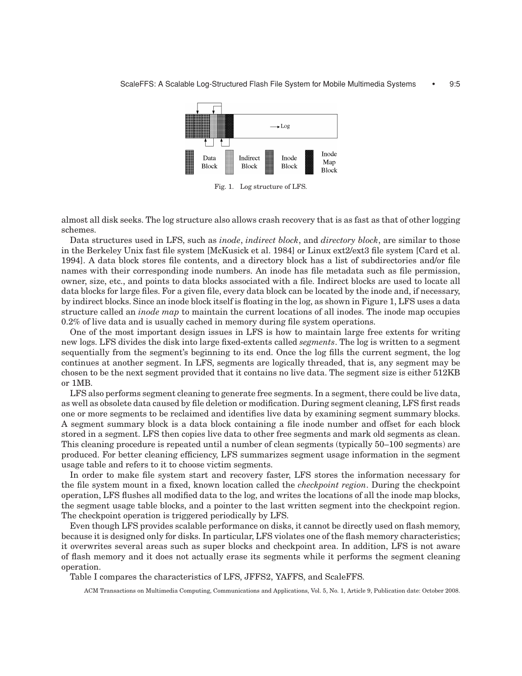

Fig. 1. Log structure of LFS.

almost all disk seeks. The log structure also allows crash recovery that is as fast as that of other logging schemes.

Data structures used in LFS, such as *inode*, *indirect block*, and *directory block*, are similar to those in the Berkeley Unix fast file system [McKusick et al. 1984] or Linux ext2/ext3 file system [Card et al. 1994]. A data block stores file contents, and a directory block has a list of subdirectories and/or file names with their corresponding inode numbers. An inode has file metadata such as file permission, owner, size, etc., and points to data blocks associated with a file. Indirect blocks are used to locate all data blocks for large files. For a given file, every data block can be located by the inode and, if necessary, by indirect blocks. Since an inode block itself is floating in the log, as shown in Figure 1, LFS uses a data structure called an *inode map* to maintain the current locations of all inodes. The inode map occupies 0.2% of live data and is usually cached in memory during file system operations.

One of the most important design issues in LFS is how to maintain large free extents for writing new logs. LFS divides the disk into large fixed-extents called *segments*. The log is written to a segment sequentially from the segment's beginning to its end. Once the log fills the current segment, the log continues at another segment. In LFS, segments are logically threaded, that is, any segment may be chosen to be the next segment provided that it contains no live data. The segment size is either 512KB or 1MB.

LFS also performs segment cleaning to generate free segments. In a segment, there could be live data, as well as obsolete data caused by file deletion or modification. During segment cleaning, LFS first reads one or more segments to be reclaimed and identifies live data by examining segment summary blocks. A segment summary block is a data block containing a file inode number and offset for each block stored in a segment. LFS then copies live data to other free segments and mark old segments as clean. This cleaning procedure is repeated until a number of clean segments (typically 50–100 segments) are produced. For better cleaning efficiency, LFS summarizes segment usage information in the segment usage table and refers to it to choose victim segments.

In order to make file system start and recovery faster, LFS stores the information necessary for the file system mount in a fixed, known location called the *checkpoint region*. During the checkpoint operation, LFS flushes all modified data to the log, and writes the locations of all the inode map blocks, the segment usage table blocks, and a pointer to the last written segment into the checkpoint region. The checkpoint operation is triggered periodically by LFS.

Even though LFS provides scalable performance on disks, it cannot be directly used on flash memory, because it is designed only for disks. In particular, LFS violates one of the flash memory characteristics; it overwrites several areas such as super blocks and checkpoint area. In addition, LFS is not aware of flash memory and it does not actually erase its segments while it performs the segment cleaning operation.

Table I compares the characteristics of LFS, JFFS2, YAFFS, and ScaleFFS.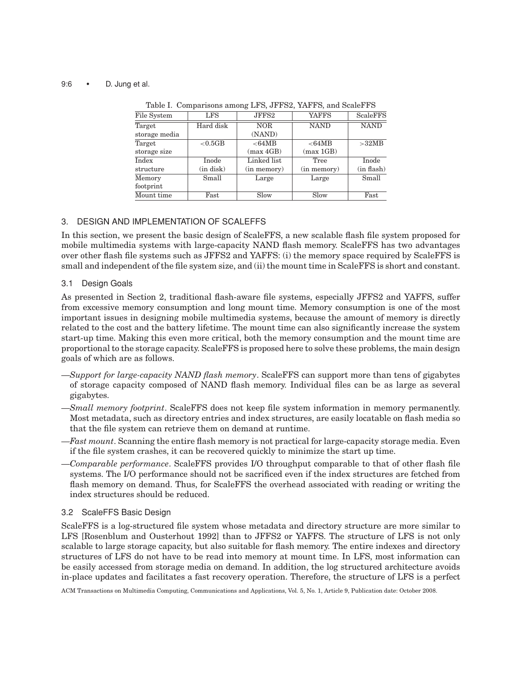# 9:6 • D. Jung et al.

| File System   | LFS       | JFFS2       | <b>YAFFS</b> | <b>ScaleFFS</b> |
|---------------|-----------|-------------|--------------|-----------------|
| Target        | Hard disk | <b>NOR</b>  | <b>NAND</b>  | <b>NAND</b>     |
| storage media |           | (NAND)      |              |                 |
| Target        | < 0.5 GB  | $<$ 64MB    | $64MB$       | >32MB           |
| storage size  |           | (max 4GB)   | (max 1GB)    |                 |
| Index         | Inode     | Linked list | Tree         | Inode           |
| structure     | (in disk) | (in memory) | (in memory)  | (in flash)      |
| Memory        | Small     | Large       | Large        | Small           |
| footprint     |           |             |              |                 |
| Mount time    | Fast      | Slow        | Slow         | Fast            |
|               |           |             |              |                 |

Table I. Comparisons among LFS, JFFS2, YAFFS, and ScaleFFS

# 3. DESIGN AND IMPLEMENTATION OF SCALEFFS

In this section, we present the basic design of ScaleFFS, a new scalable flash file system proposed for mobile multimedia systems with large-capacity NAND flash memory. ScaleFFS has two advantages over other flash file systems such as JFFS2 and YAFFS: (i) the memory space required by ScaleFFS is small and independent of the file system size, and (ii) the mount time in ScaleFFS is short and constant.

# 3.1 Design Goals

As presented in Section 2, traditional flash-aware file systems, especially JFFS2 and YAFFS, suffer from excessive memory consumption and long mount time. Memory consumption is one of the most important issues in designing mobile multimedia systems, because the amount of memory is directly related to the cost and the battery lifetime. The mount time can also significantly increase the system start-up time. Making this even more critical, both the memory consumption and the mount time are proportional to the storage capacity. ScaleFFS is proposed here to solve these problems, the main design goals of which are as follows.

- —*Support for large-capacity NAND flash memory*. ScaleFFS can support more than tens of gigabytes of storage capacity composed of NAND flash memory. Individual files can be as large as several gigabytes.
- —*Small memory footprint*. ScaleFFS does not keep file system information in memory permanently. Most metadata, such as directory entries and index structures, are easily locatable on flash media so that the file system can retrieve them on demand at runtime.
- —*Fast mount*. Scanning the entire flash memory is not practical for large-capacity storage media. Even if the file system crashes, it can be recovered quickly to minimize the start up time.
- —*Comparable performance*. ScaleFFS provides I/O throughput comparable to that of other flash file systems. The I/O performance should not be sacrificed even if the index structures are fetched from flash memory on demand. Thus, for ScaleFFS the overhead associated with reading or writing the index structures should be reduced.

# 3.2 ScaleFFS Basic Design

ScaleFFS is a log-structured file system whose metadata and directory structure are more similar to LFS [Rosenblum and Ousterhout 1992] than to JFFS2 or YAFFS. The structure of LFS is not only scalable to large storage capacity, but also suitable for flash memory. The entire indexes and directory structures of LFS do not have to be read into memory at mount time. In LFS, most information can be easily accessed from storage media on demand. In addition, the log structured architecture avoids in-place updates and facilitates a fast recovery operation. Therefore, the structure of LFS is a perfect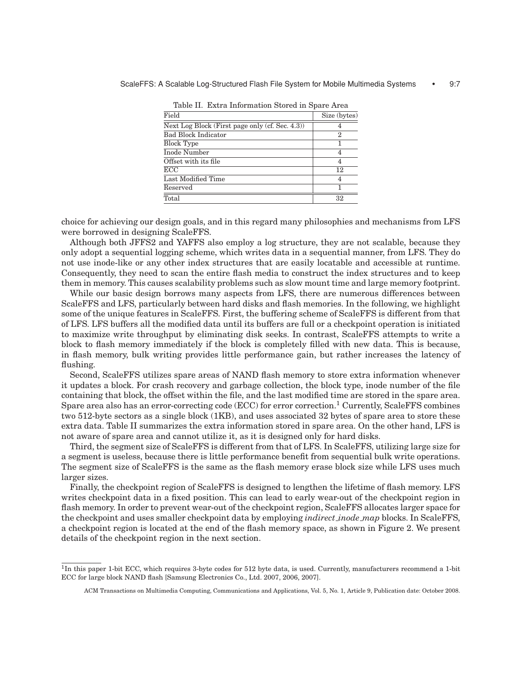| Table II. EXU a Illioilliation Stored III Spare Area |                |  |  |  |  |
|------------------------------------------------------|----------------|--|--|--|--|
| Field                                                | Size (bytes)   |  |  |  |  |
| Next Log Block (First page only (cf. Sec. 4.3))      |                |  |  |  |  |
| <b>Bad Block Indicator</b>                           | $\overline{2}$ |  |  |  |  |
| Block Type                                           |                |  |  |  |  |
| Inode Number                                         | 4              |  |  |  |  |
| Offset with its file                                 | 4              |  |  |  |  |
| ECC                                                  | 12             |  |  |  |  |
| Last Modified Time                                   | 4              |  |  |  |  |
| Reserved                                             |                |  |  |  |  |
| Total                                                | 32             |  |  |  |  |

Table II. Extra Information Stored in Spare Area

choice for achieving our design goals, and in this regard many philosophies and mechanisms from LFS were borrowed in designing ScaleFFS.

Although both JFFS2 and YAFFS also employ a log structure, they are not scalable, because they only adopt a sequential logging scheme, which writes data in a sequential manner, from LFS. They do not use inode-like or any other index structures that are easily locatable and accessible at runtime. Consequently, they need to scan the entire flash media to construct the index structures and to keep them in memory. This causes scalability problems such as slow mount time and large memory footprint.

While our basic design borrows many aspects from LFS, there are numerous differences between ScaleFFS and LFS, particularly between hard disks and flash memories. In the following, we highlight some of the unique features in ScaleFFS. First, the buffering scheme of ScaleFFS is different from that of LFS. LFS buffers all the modified data until its buffers are full or a checkpoint operation is initiated to maximize write throughput by eliminating disk seeks. In contrast, ScaleFFS attempts to write a block to flash memory immediately if the block is completely filled with new data. This is because, in flash memory, bulk writing provides little performance gain, but rather increases the latency of flushing.

Second, ScaleFFS utilizes spare areas of NAND flash memory to store extra information whenever it updates a block. For crash recovery and garbage collection, the block type, inode number of the file containing that block, the offset within the file, and the last modified time are stored in the spare area. Spare area also has an error-correcting code (ECC) for error correction.<sup>1</sup> Currently, ScaleFFS combines two 512-byte sectors as a single block (1KB), and uses associated 32 bytes of spare area to store these extra data. Table II summarizes the extra information stored in spare area. On the other hand, LFS is not aware of spare area and cannot utilize it, as it is designed only for hard disks.

Third, the segment size of ScaleFFS is different from that of LFS. In ScaleFFS, utilizing large size for a segment is useless, because there is little performance benefit from sequential bulk write operations. The segment size of ScaleFFS is the same as the flash memory erase block size while LFS uses much larger sizes.

Finally, the checkpoint region of ScaleFFS is designed to lengthen the lifetime of flash memory. LFS writes checkpoint data in a fixed position. This can lead to early wear-out of the checkpoint region in flash memory. In order to prevent wear-out of the checkpoint region, ScaleFFS allocates larger space for the checkpoint and uses smaller checkpoint data by employing *indirect inode map* blocks. In ScaleFFS, a checkpoint region is located at the end of the flash memory space, as shown in Figure 2. We present details of the checkpoint region in the next section.

 $1$ In this paper 1-bit ECC, which requires 3-byte codes for 512 byte data, is used. Currently, manufacturers recommend a 1-bit ECC for large block NAND flash [Samsung Electronics Co., Ltd. 2007, 2006, 2007].

ACM Transactions on Multimedia Computing, Communications and Applications, Vol. 5, No. 1, Article 9, Publication date: October 2008.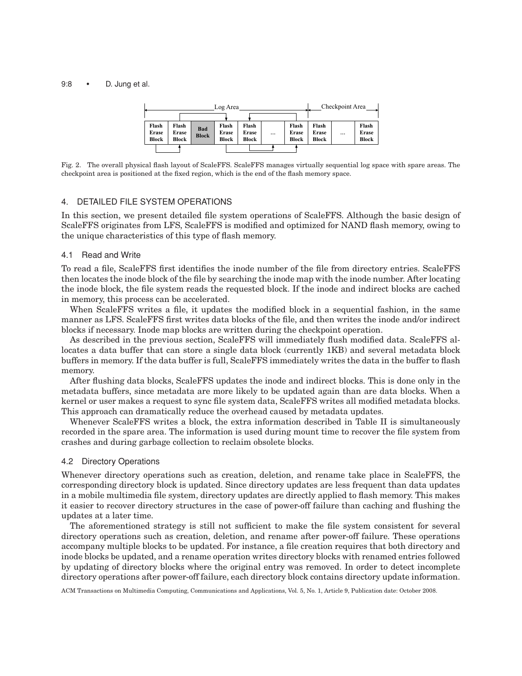| Log Area                       |                                |                            |                         |                         | Checkpoint Area |                         |                         |          |                                |
|--------------------------------|--------------------------------|----------------------------|-------------------------|-------------------------|-----------------|-------------------------|-------------------------|----------|--------------------------------|
|                                |                                |                            |                         |                         |                 |                         |                         |          |                                |
| Flash<br>Erase<br><b>Block</b> | Flash<br>Erase<br><b>Block</b> | <b>Bad</b><br><b>Block</b> | Flash<br>Erase<br>Block | Flash<br>Erase<br>Block |                 | Flash<br>Erase<br>Block | Flash<br>Erase<br>Block | $\cdots$ | Flash<br>Erase<br><b>Block</b> |
|                                |                                |                            |                         |                         |                 |                         |                         |          |                                |

Fig. 2. The overall physical flash layout of ScaleFFS. ScaleFFS manages virtually sequential log space with spare areas. The checkpoint area is positioned at the fixed region, which is the end of the flash memory space.

# 4. DETAILED FILE SYSTEM OPERATIONS

In this section, we present detailed file system operations of ScaleFFS. Although the basic design of ScaleFFS originates from LFS, ScaleFFS is modified and optimized for NAND flash memory, owing to the unique characteristics of this type of flash memory.

#### 4.1 Read and Write

To read a file, ScaleFFS first identifies the inode number of the file from directory entries. ScaleFFS then locates the inode block of the file by searching the inode map with the inode number. After locating the inode block, the file system reads the requested block. If the inode and indirect blocks are cached in memory, this process can be accelerated.

When ScaleFFS writes a file, it updates the modified block in a sequential fashion, in the same manner as LFS. ScaleFFS first writes data blocks of the file, and then writes the inode and/or indirect blocks if necessary. Inode map blocks are written during the checkpoint operation.

As described in the previous section, ScaleFFS will immediately flush modified data. ScaleFFS allocates a data buffer that can store a single data block (currently 1KB) and several metadata block buffers in memory. If the data buffer is full, ScaleFFS immediately writes the data in the buffer to flash memory.

After flushing data blocks, ScaleFFS updates the inode and indirect blocks. This is done only in the metadata buffers, since metadata are more likely to be updated again than are data blocks. When a kernel or user makes a request to sync file system data, ScaleFFS writes all modified metadata blocks. This approach can dramatically reduce the overhead caused by metadata updates.

Whenever ScaleFFS writes a block, the extra information described in Table II is simultaneously recorded in the spare area. The information is used during mount time to recover the file system from crashes and during garbage collection to reclaim obsolete blocks.

#### 4.2 Directory Operations

Whenever directory operations such as creation, deletion, and rename take place in ScaleFFS, the corresponding directory block is updated. Since directory updates are less frequent than data updates in a mobile multimedia file system, directory updates are directly applied to flash memory. This makes it easier to recover directory structures in the case of power-off failure than caching and flushing the updates at a later time.

The aforementioned strategy is still not sufficient to make the file system consistent for several directory operations such as creation, deletion, and rename after power-off failure. These operations accompany multiple blocks to be updated. For instance, a file creation requires that both directory and inode blocks be updated, and a rename operation writes directory blocks with renamed entries followed by updating of directory blocks where the original entry was removed. In order to detect incomplete directory operations after power-off failure, each directory block contains directory update information.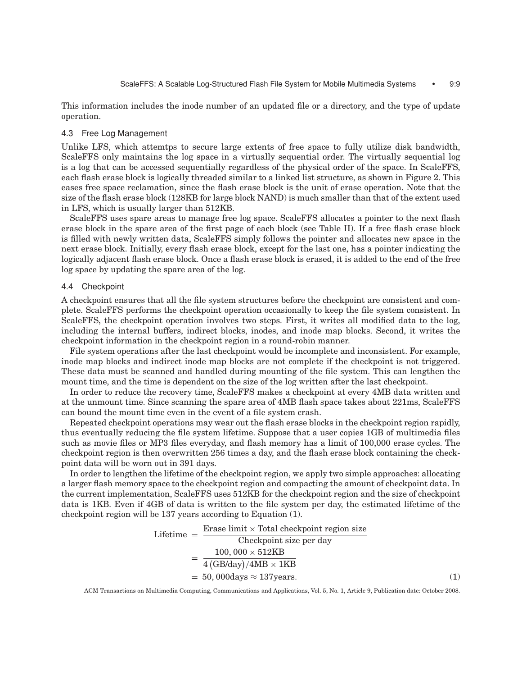This information includes the inode number of an updated file or a directory, and the type of update operation.

# 4.3 Free Log Management

Unlike LFS, which attemtps to secure large extents of free space to fully utilize disk bandwidth, ScaleFFS only maintains the log space in a virtually sequential order. The virtually sequential log is a log that can be accessed sequentially regardless of the physical order of the space. In ScaleFFS, each flash erase block is logically threaded similar to a linked list structure, as shown in Figure 2. This eases free space reclamation, since the flash erase block is the unit of erase operation. Note that the size of the flash erase block (128KB for large block NAND) is much smaller than that of the extent used in LFS, which is usually larger than 512KB.

ScaleFFS uses spare areas to manage free log space. ScaleFFS allocates a pointer to the next flash erase block in the spare area of the first page of each block (see Table II). If a free flash erase block is filled with newly written data, ScaleFFS simply follows the pointer and allocates new space in the next erase block. Initially, every flash erase block, except for the last one, has a pointer indicating the logically adjacent flash erase block. Once a flash erase block is erased, it is added to the end of the free log space by updating the spare area of the log.

#### 4.4 Checkpoint

A checkpoint ensures that all the file system structures before the checkpoint are consistent and complete. ScaleFFS performs the checkpoint operation occasionally to keep the file system consistent. In ScaleFFS, the checkpoint operation involves two steps. First, it writes all modified data to the log, including the internal buffers, indirect blocks, inodes, and inode map blocks. Second, it writes the checkpoint information in the checkpoint region in a round-robin manner.

File system operations after the last checkpoint would be incomplete and inconsistent. For example, inode map blocks and indirect inode map blocks are not complete if the checkpoint is not triggered. These data must be scanned and handled during mounting of the file system. This can lengthen the mount time, and the time is dependent on the size of the log written after the last checkpoint.

In order to reduce the recovery time, ScaleFFS makes a checkpoint at every 4MB data written and at the unmount time. Since scanning the spare area of 4MB flash space takes about 221ms, ScaleFFS can bound the mount time even in the event of a file system crash.

Repeated checkpoint operations may wear out the flash erase blocks in the checkpoint region rapidly, thus eventually reducing the file system lifetime. Suppose that a user copies 1GB of multimedia files such as movie files or MP3 files everyday, and flash memory has a limit of 100,000 erase cycles. The checkpoint region is then overwritten 256 times a day, and the flash erase block containing the checkpoint data will be worn out in 391 days.

In order to lengthen the lifetime of the checkpoint region, we apply two simple approaches: allocating a larger flash memory space to the checkpoint region and compacting the amount of checkpoint data. In the current implementation, ScaleFFS uses 512KB for the checkpoint region and the size of checkpoint data is 1KB. Even if 4GB of data is written to the file system per day, the estimated lifetime of the checkpoint region will be 137 years according to Equation (1).

Lifetime = 
$$
\frac{\text{Erase limit} \times \text{Total checkpoint region size}}{\text{Checkpoint size per day}}
$$

\n=  $\frac{100,000 \times 512 \text{KB}}{4 \text{ (GB/day)} / 4 \text{MB} \times 1 \text{KB}}$ 

\n=  $50,000 \text{days} \approx 137 \text{years.}$ 

\n(1)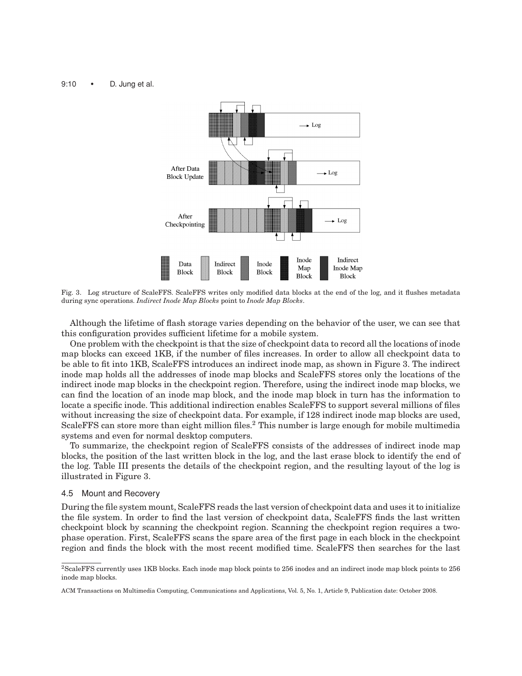#### 9:10 • D. Jung et al.



Fig. 3. Log structure of ScaleFFS. ScaleFFS writes only modified data blocks at the end of the log, and it flushes metadata during sync operations. *Indirect Inode Map Blocks* point to *Inode Map Blocks*.

Although the lifetime of flash storage varies depending on the behavior of the user, we can see that this configuration provides sufficient lifetime for a mobile system.

One problem with the checkpoint is that the size of checkpoint data to record all the locations of inode map blocks can exceed 1KB, if the number of files increases. In order to allow all checkpoint data to be able to fit into 1KB, ScaleFFS introduces an indirect inode map, as shown in Figure 3. The indirect inode map holds all the addresses of inode map blocks and ScaleFFS stores only the locations of the indirect inode map blocks in the checkpoint region. Therefore, using the indirect inode map blocks, we can find the location of an inode map block, and the inode map block in turn has the information to locate a specific inode. This additional indirection enables ScaleFFS to support several millions of files without increasing the size of checkpoint data. For example, if 128 indirect inode map blocks are used, ScaleFFS can store more than eight million files.<sup>2</sup> This number is large enough for mobile multimedia systems and even for normal desktop computers.

To summarize, the checkpoint region of ScaleFFS consists of the addresses of indirect inode map blocks, the position of the last written block in the log, and the last erase block to identify the end of the log. Table III presents the details of the checkpoint region, and the resulting layout of the log is illustrated in Figure 3.

#### 4.5 Mount and Recovery

During the file system mount, ScaleFFS reads the last version of checkpoint data and uses it to initialize the file system. In order to find the last version of checkpoint data, ScaleFFS finds the last written checkpoint block by scanning the checkpoint region. Scanning the checkpoint region requires a twophase operation. First, ScaleFFS scans the spare area of the first page in each block in the checkpoint region and finds the block with the most recent modified time. ScaleFFS then searches for the last

 $^{2}$ ScaleFFS currently uses 1KB blocks. Each inode map block points to 256 inodes and an indirect inode map block points to 256  $\,$ inode map blocks.

ACM Transactions on Multimedia Computing, Communications and Applications, Vol. 5, No. 1, Article 9, Publication date: October 2008.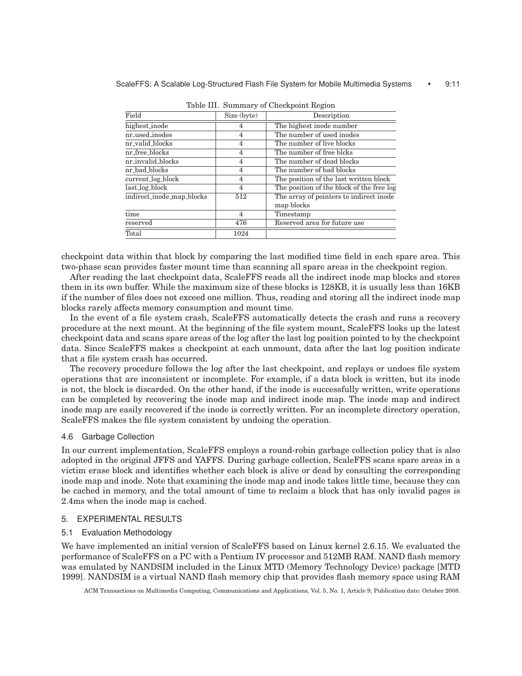| Table III, Dummary of Checkponic Region |             |                                           |  |  |  |  |
|-----------------------------------------|-------------|-------------------------------------------|--|--|--|--|
| Field                                   | Size (byte) | Description                               |  |  |  |  |
| highest_inode                           |             | The highest inode number                  |  |  |  |  |
| nr_used_inodes                          | 4           | The number of used inodes                 |  |  |  |  |
| nr_valid_blocks                         | 4           | The number of live blocks                 |  |  |  |  |
| nr_free_blocks                          | 4           | The number of free blcks                  |  |  |  |  |
| nr_invalid_blocks                       | 4           | The number of dead blocks                 |  |  |  |  |
| nr_bad_blocks                           | 4           | The number of bad blocks                  |  |  |  |  |
| current_log_block                       | 4           | The position of the last written block    |  |  |  |  |
| last_log_block                          | 4           | The position of the block of the free log |  |  |  |  |
| indirect_inode_map_blocks               | 512         | The array of pointers to indirect inode   |  |  |  |  |
|                                         |             | map blocks                                |  |  |  |  |
| time                                    | 4           | Timestamp                                 |  |  |  |  |
| ${\rm reserved}$                        | 476         | Reserved area for future use              |  |  |  |  |
| Total                                   | 1024        |                                           |  |  |  |  |

Table III. Summary of Checkpoint Region

checkpoint data within that block by comparing the last modified time field in each spare area. This two-phase scan provides faster mount time than scanning all spare areas in the checkpoint region.

After reading the last checkpoint data, ScaleFFS reads all the indirect inode map blocks and stores them in its own buffer. While the maximum size of these blocks is 128KB, it is usually less than 16KB if the number of files does not exceed one million. Thus, reading and storing all the indirect inode map blocks rarely affects memory consumption and mount time.

In the event of a file system crash, ScaleFFS automatically detects the crash and runs a recovery procedure at the next mount. At the beginning of the file system mount, ScaleFFS looks up the latest checkpoint data and scans spare areas of the log after the last log position pointed to by the checkpoint data. Since ScaleFFS makes a checkpoint at each unmount, data after the last log position indicate that a file system crash has occurred.

The recovery procedure follows the log after the last checkpoint, and replays or undoes file system operations that are inconsistent or incomplete. For example, if a data block is written, but its inode is not, the block is discarded. On the other hand, if the inode is successfully written, write operations can be completed by recovering the inode map and indirect inode map. The inode map and indirect inode map are easily recovered if the inode is correctly written. For an incomplete directory operation, ScaleFFS makes the file system consistent by undoing the operation.

# 4.6 Garbage Collection

In our current implementation, ScaleFFS employs a round-robin garbage collection policy that is also adopted in the original JFFS and YAFFS. During garbage collection, ScaleFFS scans spare areas in a victim erase block and identifies whether each block is alive or dead by consulting the corresponding inode map and inode. Note that examining the inode map and inode takes little time, because they can be cached in memory, and the total amount of time to reclaim a block that has only invalid pages is 2.4ms when the inode map is cached.

#### 5. EXPERIMENTAL RESULTS

#### 5.1 Evaluation Methodology

We have implemented an initial version of ScaleFFS based on Linux kernel 2.6.15. We evaluated the performance of ScaleFFS on a PC with a Pentium IV processor and 512MB RAM. NAND flash memory was emulated by NANDSIM included in the Linux MTD (Memory Technology Device) package [MTD 1999]. NANDSIM is a virtual NAND flash memory chip that provides flash memory space using RAM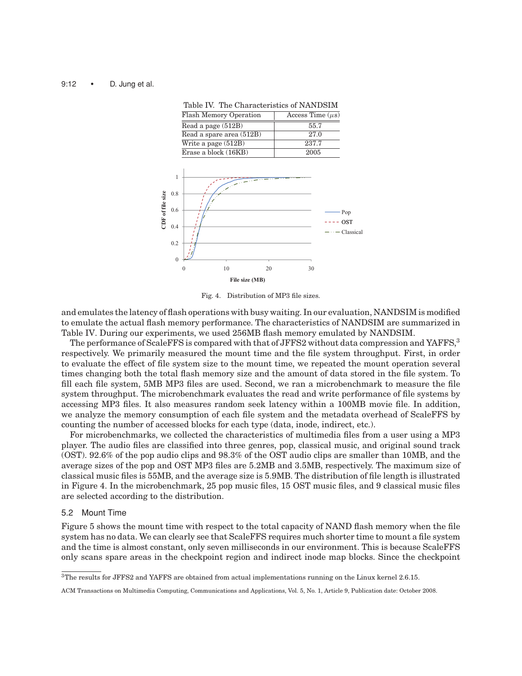Table IV. The Characteristics of NANDSIM



Fig. 4. Distribution of MP3 file sizes.

0 10 20 30

**File size (MB)**

and emulates the latency of flash operations with busy waiting. In our evaluation, NANDSIM is modified to emulate the actual flash memory performance. The characteristics of NANDSIM are summarized in Table IV. During our experiments, we used 256MB flash memory emulated by NANDSIM.

The performance of ScaleFFS is compared with that of JFFS2 without data compression and YAFFS,<sup>3</sup> respectively. We primarily measured the mount time and the file system throughput. First, in order to evaluate the effect of file system size to the mount time, we repeated the mount operation several times changing both the total flash memory size and the amount of data stored in the file system. To fill each file system, 5MB MP3 files are used. Second, we ran a microbenchmark to measure the file system throughput. The microbenchmark evaluates the read and write performance of file systems by accessing MP3 files. It also measures random seek latency within a 100MB movie file. In addition, we analyze the memory consumption of each file system and the metadata overhead of ScaleFFS by counting the number of accessed blocks for each type (data, inode, indirect, etc.).

For microbenchmarks, we collected the characteristics of multimedia files from a user using a MP3 player. The audio files are classified into three genres, pop, classical music, and original sound track (OST). 92.6% of the pop audio clips and 98.3% of the OST audio clips are smaller than 10MB, and the average sizes of the pop and OST MP3 files are 5.2MB and 3.5MB, respectively. The maximum size of classical music files is 55MB, and the average size is 5.9MB. The distribution of file length is illustrated in Figure 4. In the microbenchmark, 25 pop music files, 15 OST music files, and 9 classical music files are selected according to the distribution.

#### 5.2 Mount Time

Figure 5 shows the mount time with respect to the total capacity of NAND flash memory when the file system has no data. We can clearly see that ScaleFFS requires much shorter time to mount a file system and the time is almost constant, only seven milliseconds in our environment. This is because ScaleFFS only scans spare areas in the checkpoint region and indirect inode map blocks. Since the checkpoint

<sup>3</sup>The results for JFFS2 and YAFFS are obtained from actual implementations running on the Linux kernel 2.6.15.

ACM Transactions on Multimedia Computing, Communications and Applications, Vol. 5, No. 1, Article 9, Publication date: October 2008.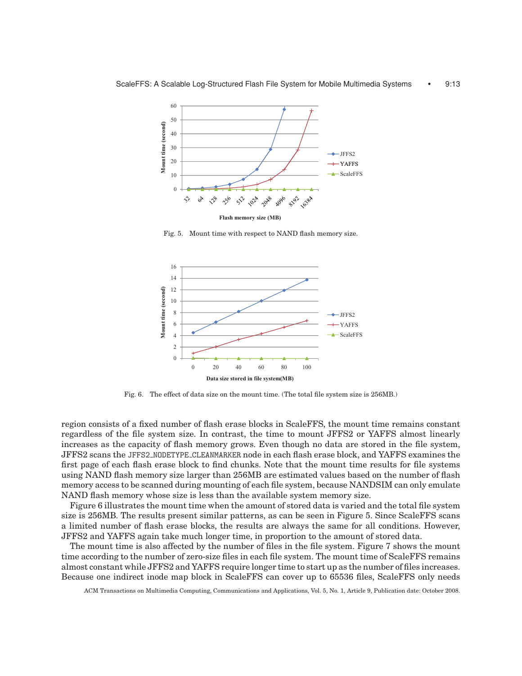

Fig. 5. Mount time with respect to NAND flash memory size.



Fig. 6. The effect of data size on the mount time. (The total file system size is 256MB.)

region consists of a fixed number of flash erase blocks in ScaleFFS, the mount time remains constant regardless of the file system size. In contrast, the time to mount JFFS2 or YAFFS almost linearly increases as the capacity of flash memory grows. Even though no data are stored in the file system, JFFS2 scans the JFFS2 NODETYPE CLEANMARKER node in each flash erase block, and YAFFS examines the first page of each flash erase block to find chunks. Note that the mount time results for file systems using NAND flash memory size larger than 256MB are estimated values based on the number of flash memory access to be scanned during mounting of each file system, because NANDSIM can only emulate NAND flash memory whose size is less than the available system memory size.

Figure 6 illustrates the mount time when the amount of stored data is varied and the total file system size is 256MB. The results present similar patterns, as can be seen in Figure 5. Since ScaleFFS scans a limited number of flash erase blocks, the results are always the same for all conditions. However, JFFS2 and YAFFS again take much longer time, in proportion to the amount of stored data.

The mount time is also affected by the number of files in the file system. Figure 7 shows the mount time according to the number of zero-size files in each file system. The mount time of ScaleFFS remains almost constant while JFFS2 and YAFFS require longer time to start up as the number of files increases. Because one indirect inode map block in ScaleFFS can cover up to 65536 files, ScaleFFS only needs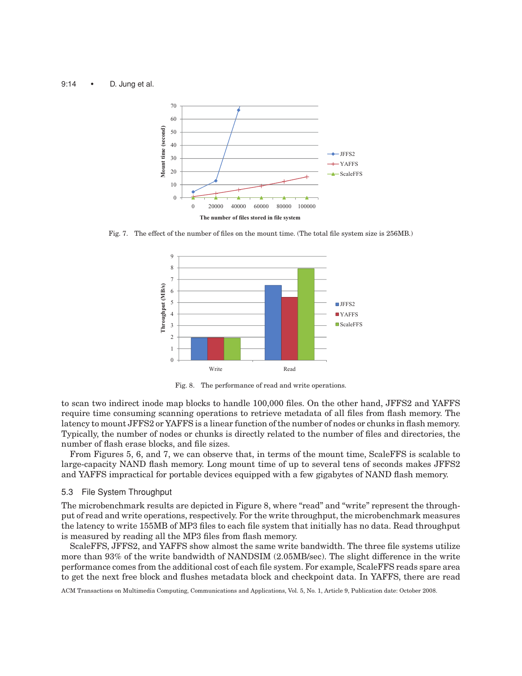# 9:14 • D. Jung et al.



Fig. 7. The effect of the number of files on the mount time. (The total file system size is 256MB.)



Fig. 8. The performance of read and write operations.

to scan two indirect inode map blocks to handle 100,000 files. On the other hand, JFFS2 and YAFFS require time consuming scanning operations to retrieve metadata of all files from flash memory. The latency to mount JFFS2 or YAFFS is a linear function of the number of nodes or chunks in flash memory. Typically, the number of nodes or chunks is directly related to the number of files and directories, the number of flash erase blocks, and file sizes.

From Figures 5, 6, and 7, we can observe that, in terms of the mount time, ScaleFFS is scalable to large-capacity NAND flash memory. Long mount time of up to several tens of seconds makes JFFS2 and YAFFS impractical for portable devices equipped with a few gigabytes of NAND flash memory.

## 5.3 File System Throughput

The microbenchmark results are depicted in Figure 8, where "read" and "write" represent the throughput of read and write operations, respectively. For the write throughput, the microbenchmark measures the latency to write 155MB of MP3 files to each file system that initially has no data. Read throughput is measured by reading all the MP3 files from flash memory.

ScaleFFS, JFFS2, and YAFFS show almost the same write bandwidth. The three file systems utilize more than 93% of the write bandwidth of NANDSIM (2.05MB/sec). The slight difference in the write performance comes from the additional cost of each file system. For example, ScaleFFS reads spare area to get the next free block and flushes metadata block and checkpoint data. In YAFFS, there are read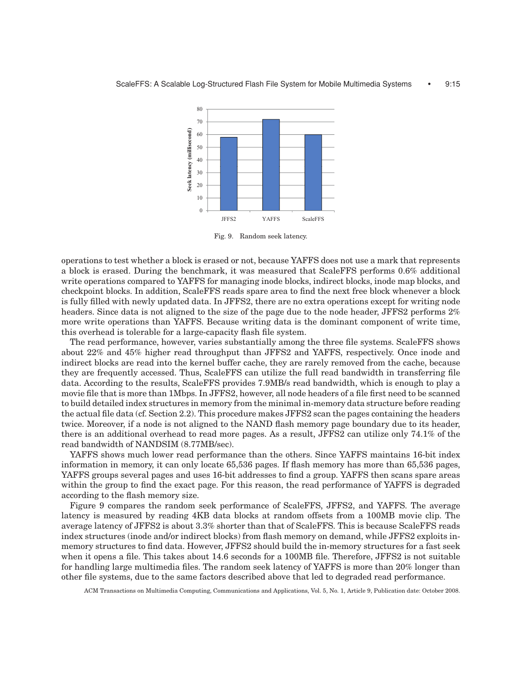

Fig. 9. Random seek latency.

operations to test whether a block is erased or not, because YAFFS does not use a mark that represents a block is erased. During the benchmark, it was measured that ScaleFFS performs 0.6% additional write operations compared to YAFFS for managing inode blocks, indirect blocks, inode map blocks, and checkpoint blocks. In addition, ScaleFFS reads spare area to find the next free block whenever a block is fully filled with newly updated data. In JFFS2, there are no extra operations except for writing node headers. Since data is not aligned to the size of the page due to the node header, JFFS2 performs 2% more write operations than YAFFS. Because writing data is the dominant component of write time, this overhead is tolerable for a large-capacity flash file system.

The read performance, however, varies substantially among the three file systems. ScaleFFS shows about 22% and 45% higher read throughput than JFFS2 and YAFFS, respectively. Once inode and indirect blocks are read into the kernel buffer cache, they are rarely removed from the cache, because they are frequently accessed. Thus, ScaleFFS can utilize the full read bandwidth in transferring file data. According to the results, ScaleFFS provides 7.9MB/s read bandwidth, which is enough to play a movie file that is more than 1Mbps. In JFFS2, however, all node headers of a file first need to be scanned to build detailed index structures in memory from the minimal in-memory data structure before reading the actual file data (cf. Section 2.2). This procedure makes JFFS2 scan the pages containing the headers twice. Moreover, if a node is not aligned to the NAND flash memory page boundary due to its header, there is an additional overhead to read more pages. As a result, JFFS2 can utilize only 74.1% of the read bandwidth of NANDSIM (8.77MB/sec).

YAFFS shows much lower read performance than the others. Since YAFFS maintains 16-bit index information in memory, it can only locate 65,536 pages. If flash memory has more than 65,536 pages, YAFFS groups several pages and uses 16-bit addresses to find a group. YAFFS then scans spare areas within the group to find the exact page. For this reason, the read performance of YAFFS is degraded according to the flash memory size.

Figure 9 compares the random seek performance of ScaleFFS, JFFS2, and YAFFS. The average latency is measured by reading 4KB data blocks at random offsets from a 100MB movie clip. The average latency of JFFS2 is about 3.3% shorter than that of ScaleFFS. This is because ScaleFFS reads index structures (inode and/or indirect blocks) from flash memory on demand, while JFFS2 exploits inmemory structures to find data. However, JFFS2 should build the in-memory structures for a fast seek when it opens a file. This takes about 14.6 seconds for a 100MB file. Therefore, JFFS2 is not suitable for handling large multimedia files. The random seek latency of YAFFS is more than 20% longer than other file systems, due to the same factors described above that led to degraded read performance.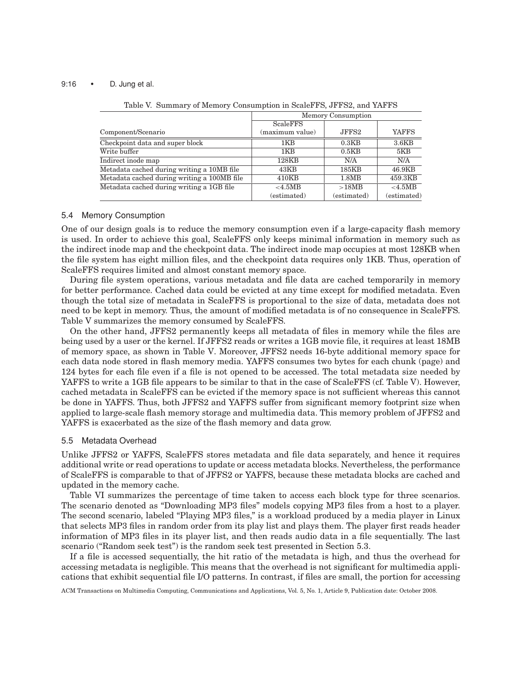## 9:16 • D. Jung et al.

|                                             |                 | Memory Consumption |             |  |
|---------------------------------------------|-----------------|--------------------|-------------|--|
|                                             | <b>ScaleFFS</b> |                    |             |  |
| Component/Scenario                          | (maximum value) | JFFS2              | YAFFS       |  |
| Checkpoint data and super block             | 1KB             | 0.3KB              | 3.6KB       |  |
| Write buffer                                | 1KB             | 0.5KB              | 5KB         |  |
| Indirect inode map                          | 128KB           | N/A                | N/A         |  |
| Metadata cached during writing a 10MB file  | 43KB            | 185KB              | 46.9KB      |  |
| Metadata cached during writing a 100MB file | 410KB           | 1.8MB              | 459.3KB     |  |
| Metadata cached during writing a 1GB file   | $<$ 4.5MB       | >18MB              | $<$ 4.5MB   |  |
|                                             | (estimated)     | (estimated)        | (estimated) |  |

Table V. Summary of Memory Consumption in ScaleFFS, JFFS2, and YAFFS

## 5.4 Memory Consumption

One of our design goals is to reduce the memory consumption even if a large-capacity flash memory is used. In order to achieve this goal, ScaleFFS only keeps minimal information in memory such as the indirect inode map and the checkpoint data. The indirect inode map occupies at most 128KB when the file system has eight million files, and the checkpoint data requires only 1KB. Thus, operation of ScaleFFS requires limited and almost constant memory space.

During file system operations, various metadata and file data are cached temporarily in memory for better performance. Cached data could be evicted at any time except for modified metadata. Even though the total size of metadata in ScaleFFS is proportional to the size of data, metadata does not need to be kept in memory. Thus, the amount of modified metadata is of no consequence in ScaleFFS. Table V summarizes the memory consumed by ScaleFFS.

On the other hand, JFFS2 permanently keeps all metadata of files in memory while the files are being used by a user or the kernel. If JFFS2 reads or writes a 1GB movie file, it requires at least 18MB of memory space, as shown in Table V. Moreover, JFFS2 needs 16-byte additional memory space for each data node stored in flash memory media. YAFFS consumes two bytes for each chunk (page) and 124 bytes for each file even if a file is not opened to be accessed. The total metadata size needed by YAFFS to write a 1GB file appears to be similar to that in the case of ScaleFFS (cf. Table V). However, cached metadata in ScaleFFS can be evicted if the memory space is not sufficient whereas this cannot be done in YAFFS. Thus, both JFFS2 and YAFFS suffer from significant memory footprint size when applied to large-scale flash memory storage and multimedia data. This memory problem of JFFS2 and YAFFS is exacerbated as the size of the flash memory and data grow.

# 5.5 Metadata Overhead

Unlike JFFS2 or YAFFS, ScaleFFS stores metadata and file data separately, and hence it requires additional write or read operations to update or access metadata blocks. Nevertheless, the performance of ScaleFFS is comparable to that of JFFS2 or YAFFS, because these metadata blocks are cached and updated in the memory cache.

Table VI summarizes the percentage of time taken to access each block type for three scenarios. The scenario denoted as "Downloading MP3 files" models copying MP3 files from a host to a player. The second scenario, labeled "Playing MP3 files," is a workload produced by a media player in Linux that selects MP3 files in random order from its play list and plays them. The player first reads header information of MP3 files in its player list, and then reads audio data in a file sequentially. The last scenario ("Random seek test") is the random seek test presented in Section 5.3.

If a file is accessed sequentially, the hit ratio of the metadata is high, and thus the overhead for accessing metadata is negligible. This means that the overhead is not significant for multimedia applications that exhibit sequential file I/O patterns. In contrast, if files are small, the portion for accessing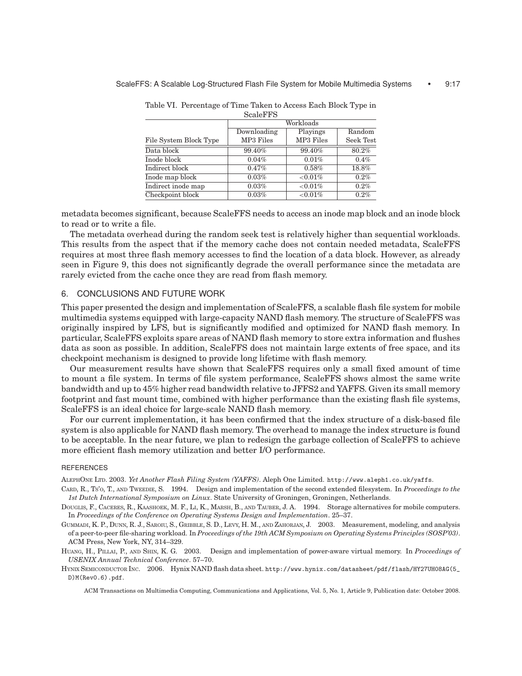| NUMIVE L. N      |  |  |  |  |  |  |
|------------------|--|--|--|--|--|--|
| Workloads        |  |  |  |  |  |  |
| Random           |  |  |  |  |  |  |
| <b>Seek Test</b> |  |  |  |  |  |  |
| 80.2%            |  |  |  |  |  |  |
| 0.4%             |  |  |  |  |  |  |
| 18.8%            |  |  |  |  |  |  |
| 0.2%             |  |  |  |  |  |  |
| 0.2%             |  |  |  |  |  |  |
| 0.2%             |  |  |  |  |  |  |
|                  |  |  |  |  |  |  |

Table VI. Percentage of Time Taken to Access Each Block Type in ScaleFFS

metadata becomes significant, because ScaleFFS needs to access an inode map block and an inode block to read or to write a file.

The metadata overhead during the random seek test is relatively higher than sequential workloads. This results from the aspect that if the memory cache does not contain needed metadata, ScaleFFS requires at most three flash memory accesses to find the location of a data block. However, as already seen in Figure 9, this does not significantly degrade the overall performance since the metadata are rarely evicted from the cache once they are read from flash memory.

# 6. CONCLUSIONS AND FUTURE WORK

This paper presented the design and implementation of ScaleFFS, a scalable flash file system for mobile multimedia systems equipped with large-capacity NAND flash memory. The structure of ScaleFFS was originally inspired by LFS, but is significantly modified and optimized for NAND flash memory. In particular, ScaleFFS exploits spare areas of NAND flash memory to store extra information and flushes data as soon as possible. In addition, ScaleFFS does not maintain large extents of free space, and its checkpoint mechanism is designed to provide long lifetime with flash memory.

Our measurement results have shown that ScaleFFS requires only a small fixed amount of time to mount a file system. In terms of file system performance, ScaleFFS shows almost the same write bandwidth and up to 45% higher read bandwidth relative to JFFS2 and YAFFS. Given its small memory footprint and fast mount time, combined with higher performance than the existing flash file systems, ScaleFFS is an ideal choice for large-scale NAND flash memory.

For our current implementation, it has been confirmed that the index structure of a disk-based file system is also applicable for NAND flash memory. The overhead to manage the index structure is found to be acceptable. In the near future, we plan to redesign the garbage collection of ScaleFFS to achieve more efficient flash memory utilization and better I/O performance.

#### **REFERENCES**

ALEPHONE LTD. 2003. *Yet Another Flash Filing System (YAFFS)*. Aleph One Limited. http://www.aleph1.co.uk/yaffs.

- CARD, R., TS'O, T., AND TWEEDIE, S. 1994. Design and implementation of the second extended filesystem. In *Proceedings to the 1st Dutch International Symposium on Linux*. State University of Groningen, Groningen, Netherlands.
- DOUGLIS, F., CACERES, R., KAASHOEK, M. F., LI, K., MARSH, B., AND TAUBER, J. A. 1994. Storage alternatives for mobile computers. In *Proceedings of the Conference on Operating Systems Design and Implementation*. 25–37.
- GUMMADI, K. P., DUNN, R. J., SAROIU, S., GRIBBLE, S. D., LEVY, H. M., AND ZAHORJAN, J. 2003. Measurement, modeling, and analysis of a peer-to-peer file-sharing workload. In *Proceedings of the 19th ACM Symposium on Operating Systems Principles (SOSP'03)*. ACM Press, New York, NY, 314–329.
- HUANG, H., PILLAI, P., AND SHIN, K. G. 2003. Design and implementation of power-aware virtual memory. In *Proceedings of USENIX Annual Technical Conference*. 57–70.

HYNIX SEMICONDUCTOR INC. 2006. Hynix NAND flash data sheet. http://www.hynix.com/datasheet/pdf/flash/HY27UH08AG(5\_ D)M(Rev0.6).pdf.